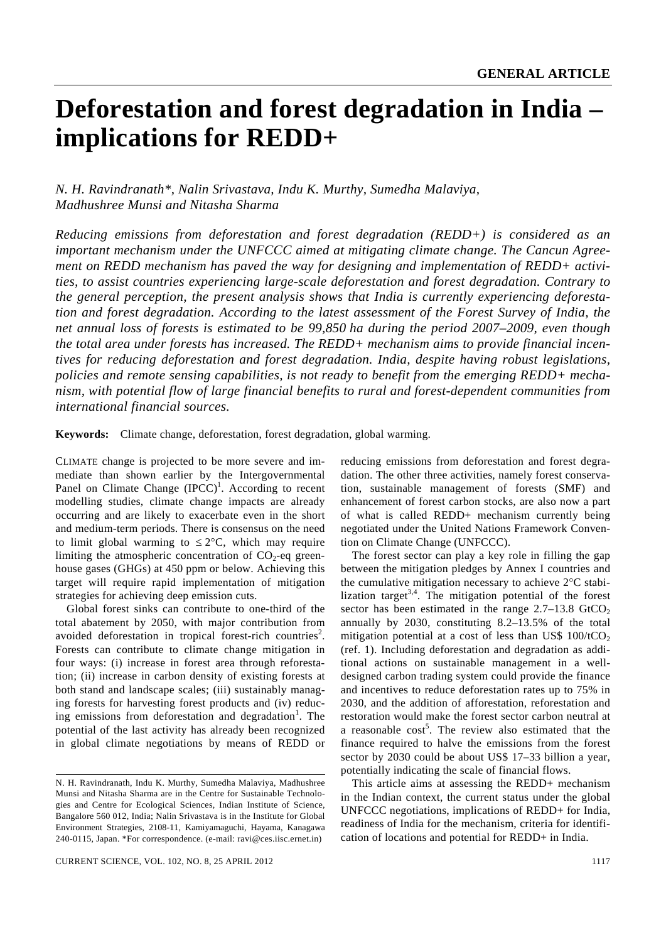# **Deforestation and forest degradation in India – implications for REDD+**

# *N. H. Ravindranath\*, Nalin Srivastava, Indu K. Murthy, Sumedha Malaviya, Madhushree Munsi and Nitasha Sharma*

*Reducing emissions from deforestation and forest degradation (REDD+) is considered as an important mechanism under the UNFCCC aimed at mitigating climate change. The Cancun Agreement on REDD mechanism has paved the way for designing and implementation of REDD+ activities, to assist countries experiencing large-scale deforestation and forest degradation. Contrary to the general perception, the present analysis shows that India is currently experiencing deforestation and forest degradation. According to the latest assessment of the Forest Survey of India, the net annual loss of forests is estimated to be 99,850 ha during the period 2007–2009, even though the total area under forests has increased. The REDD+ mechanism aims to provide financial incentives for reducing deforestation and forest degradation. India, despite having robust legislations, policies and remote sensing capabilities, is not ready to benefit from the emerging REDD+ mechanism, with potential flow of large financial benefits to rural and forest-dependent communities from international financial sources.* 

**Keywords:** Climate change, deforestation, forest degradation, global warming.

CLIMATE change is projected to be more severe and immediate than shown earlier by the Intergovernmental Panel on Climate Change  $(IPCC)^1$ . According to recent modelling studies, climate change impacts are already occurring and are likely to exacerbate even in the short and medium-term periods. There is consensus on the need to limit global warming to  $\leq 2^{\circ}C$ , which may require limiting the atmospheric concentration of  $CO<sub>2</sub>$ -eq greenhouse gases (GHGs) at 450 ppm or below. Achieving this target will require rapid implementation of mitigation strategies for achieving deep emission cuts.

 Global forest sinks can contribute to one-third of the total abatement by 2050, with major contribution from avoided deforestation in tropical forest-rich countries<sup>2</sup>. Forests can contribute to climate change mitigation in four ways: (i) increase in forest area through reforestation; (ii) increase in carbon density of existing forests at both stand and landscape scales; (iii) sustainably managing forests for harvesting forest products and (iv) reducing emissions from deforestation and degradation<sup>1</sup>. The potential of the last activity has already been recognized in global climate negotiations by means of REDD or

reducing emissions from deforestation and forest degradation. The other three activities, namely forest conservation, sustainable management of forests (SMF) and enhancement of forest carbon stocks, are also now a part of what is called REDD+ mechanism currently being negotiated under the United Nations Framework Convention on Climate Change (UNFCCC).

 The forest sector can play a key role in filling the gap between the mitigation pledges by Annex I countries and the cumulative mitigation necessary to achieve 2°C stabilization target<sup>3,4</sup>. The mitigation potential of the forest sector has been estimated in the range  $2.7-13.8$  GtCO<sub>2</sub> annually by 2030, constituting 8.2–13.5% of the total mitigation potential at a cost of less than US\$  $100/tCO<sub>2</sub>$ (ref. 1). Including deforestation and degradation as additional actions on sustainable management in a welldesigned carbon trading system could provide the finance and incentives to reduce deforestation rates up to 75% in 2030, and the addition of afforestation, reforestation and restoration would make the forest sector carbon neutral at a reasonable  $cost<sup>5</sup>$ . The review also estimated that the finance required to halve the emissions from the forest sector by 2030 could be about US\$ 17–33 billion a year, potentially indicating the scale of financial flows.

 This article aims at assessing the REDD+ mechanism in the Indian context, the current status under the global UNFCCC negotiations, implications of REDD+ for India, readiness of India for the mechanism, criteria for identification of locations and potential for REDD+ in India.

N. H. Ravindranath, Indu K. Murthy, Sumedha Malaviya, Madhushree Munsi and Nitasha Sharma are in the Centre for Sustainable Technologies and Centre for Ecological Sciences, Indian Institute of Science, Bangalore 560 012, India; Nalin Srivastava is in the Institute for Global Environment Strategies, 2108-11, Kamiyamaguchi, Hayama, Kanagawa 240-0115, Japan. \*For correspondence. (e-mail: ravi@ces.iisc.ernet.in)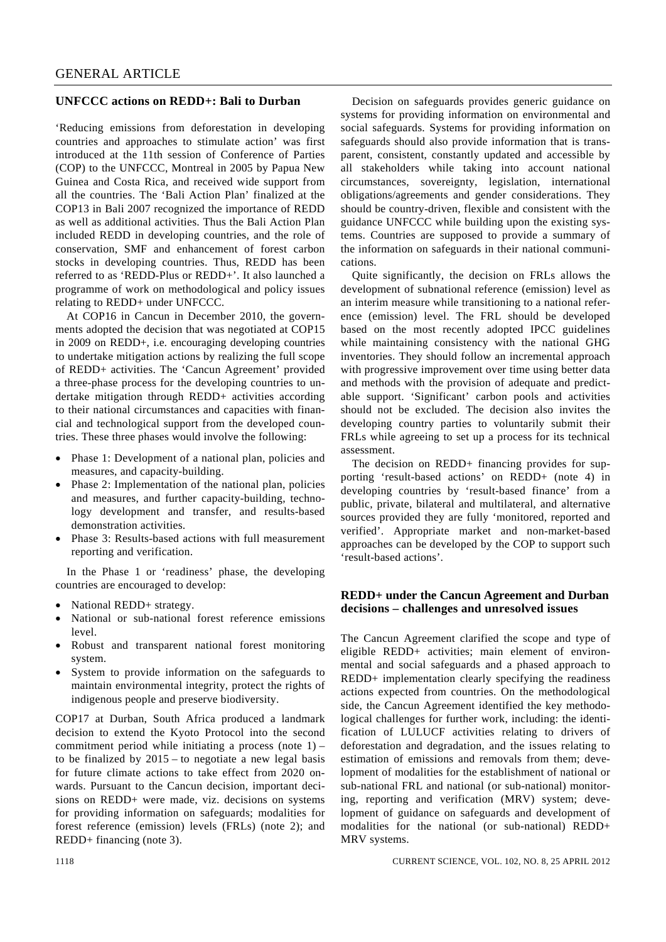#### **UNFCCC actions on REDD+: Bali to Durban**

'Reducing emissions from deforestation in developing countries and approaches to stimulate action' was first introduced at the 11th session of Conference of Parties (COP) to the UNFCCC, Montreal in 2005 by Papua New Guinea and Costa Rica, and received wide support from all the countries. The 'Bali Action Plan' finalized at the COP13 in Bali 2007 recognized the importance of REDD as well as additional activities. Thus the Bali Action Plan included REDD in developing countries, and the role of conservation, SMF and enhancement of forest carbon stocks in developing countries. Thus, REDD has been referred to as 'REDD-Plus or REDD+'. It also launched a programme of work on methodological and policy issues relating to REDD+ under UNFCCC.

 At COP16 in Cancun in December 2010, the governments adopted the decision that was negotiated at COP15 in 2009 on REDD+, i.e. encouraging developing countries to undertake mitigation actions by realizing the full scope of REDD+ activities. The 'Cancun Agreement' provided a three-phase process for the developing countries to undertake mitigation through REDD+ activities according to their national circumstances and capacities with financial and technological support from the developed countries. These three phases would involve the following:

- Phase 1: Development of a national plan, policies and measures, and capacity-building.
- Phase 2: Implementation of the national plan, policies and measures, and further capacity-building, technology development and transfer, and results-based demonstration activities.
- Phase 3: Results-based actions with full measurement reporting and verification.

 In the Phase 1 or 'readiness' phase, the developing countries are encouraged to develop:

- National REDD+ strategy.
- National or sub-national forest reference emissions level.
- Robust and transparent national forest monitoring system.
- System to provide information on the safeguards to maintain environmental integrity, protect the rights of indigenous people and preserve biodiversity.

COP17 at Durban, South Africa produced a landmark decision to extend the Kyoto Protocol into the second commitment period while initiating a process (note  $1$ ) – to be finalized by 2015 – to negotiate a new legal basis for future climate actions to take effect from 2020 onwards. Pursuant to the Cancun decision, important decisions on REDD+ were made, viz. decisions on systems for providing information on safeguards; modalities for forest reference (emission) levels (FRLs) (note 2); and REDD+ financing (note 3).

 Decision on safeguards provides generic guidance on systems for providing information on environmental and social safeguards. Systems for providing information on safeguards should also provide information that is transparent, consistent, constantly updated and accessible by all stakeholders while taking into account national circumstances, sovereignty, legislation, international obligations/agreements and gender considerations. They should be country-driven, flexible and consistent with the guidance UNFCCC while building upon the existing systems. Countries are supposed to provide a summary of the information on safeguards in their national communications.

 Quite significantly, the decision on FRLs allows the development of subnational reference (emission) level as an interim measure while transitioning to a national reference (emission) level. The FRL should be developed based on the most recently adopted IPCC guidelines while maintaining consistency with the national GHG inventories. They should follow an incremental approach with progressive improvement over time using better data and methods with the provision of adequate and predictable support. 'Significant' carbon pools and activities should not be excluded. The decision also invites the developing country parties to voluntarily submit their FRLs while agreeing to set up a process for its technical assessment.

 The decision on REDD+ financing provides for supporting 'result-based actions' on REDD+ (note 4) in developing countries by 'result-based finance' from a public, private, bilateral and multilateral, and alternative sources provided they are fully 'monitored, reported and verified'. Appropriate market and non-market-based approaches can be developed by the COP to support such 'result-based actions'.

# **REDD+ under the Cancun Agreement and Durban decisions – challenges and unresolved issues**

The Cancun Agreement clarified the scope and type of eligible REDD+ activities; main element of environmental and social safeguards and a phased approach to REDD+ implementation clearly specifying the readiness actions expected from countries. On the methodological side, the Cancun Agreement identified the key methodological challenges for further work, including: the identification of LULUCF activities relating to drivers of deforestation and degradation, and the issues relating to estimation of emissions and removals from them; development of modalities for the establishment of national or sub-national FRL and national (or sub-national) monitoring, reporting and verification (MRV) system; development of guidance on safeguards and development of modalities for the national (or sub-national) REDD+ MRV systems.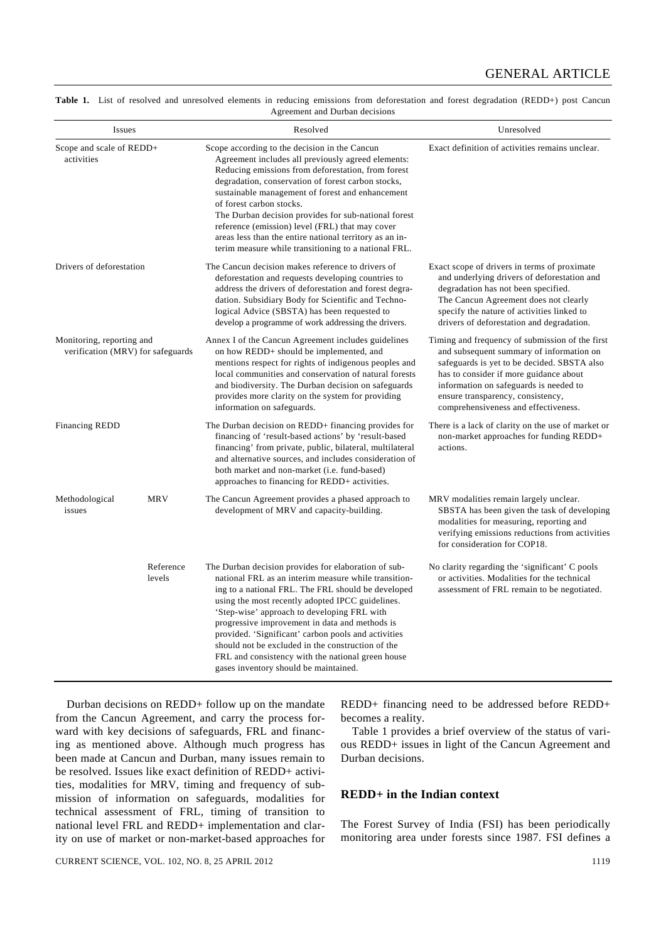| <b>Issues</b>                                                      |                     | Resolved                                                                                                                                                                                                                                                                                                                                                                                                                                                                                                                          | Unresolved                                                                                                                                                                                                                                                                                                  |
|--------------------------------------------------------------------|---------------------|-----------------------------------------------------------------------------------------------------------------------------------------------------------------------------------------------------------------------------------------------------------------------------------------------------------------------------------------------------------------------------------------------------------------------------------------------------------------------------------------------------------------------------------|-------------------------------------------------------------------------------------------------------------------------------------------------------------------------------------------------------------------------------------------------------------------------------------------------------------|
| Scope and scale of REDD+<br>activities<br>Drivers of deforestation |                     | Scope according to the decision in the Cancun<br>Agreement includes all previously agreed elements:<br>Reducing emissions from deforestation, from forest<br>degradation, conservation of forest carbon stocks,<br>sustainable management of forest and enhancement<br>of forest carbon stocks.<br>The Durban decision provides for sub-national forest<br>reference (emission) level (FRL) that may cover<br>areas less than the entire national territory as an in-<br>terim measure while transitioning to a national FRL.     | Exact definition of activities remains unclear.                                                                                                                                                                                                                                                             |
|                                                                    |                     | The Cancun decision makes reference to drivers of<br>deforestation and requests developing countries to<br>address the drivers of deforestation and forest degra-<br>dation. Subsidiary Body for Scientific and Techno-<br>logical Advice (SBSTA) has been requested to<br>develop a programme of work addressing the drivers.                                                                                                                                                                                                    | Exact scope of drivers in terms of proximate<br>and underlying drivers of deforestation and<br>degradation has not been specified.<br>The Cancun Agreement does not clearly<br>specify the nature of activities linked to<br>drivers of deforestation and degradation.                                      |
| Monitoring, reporting and<br>verification (MRV) for safeguards     |                     | Annex I of the Cancun Agreement includes guidelines<br>on how REDD+ should be implemented, and<br>mentions respect for rights of indigenous peoples and<br>local communities and conservation of natural forests<br>and biodiversity. The Durban decision on safeguards<br>provides more clarity on the system for providing<br>information on safeguards.                                                                                                                                                                        | Timing and frequency of submission of the first<br>and subsequent summary of information on<br>safeguards is yet to be decided. SBSTA also<br>has to consider if more guidance about<br>information on safeguards is needed to<br>ensure transparency, consistency,<br>comprehensiveness and effectiveness. |
| <b>Financing REDD</b>                                              |                     | The Durban decision on REDD+ financing provides for<br>financing of 'result-based actions' by 'result-based<br>financing' from private, public, bilateral, multilateral<br>and alternative sources, and includes consideration of<br>both market and non-market (i.e. fund-based)<br>approaches to financing for REDD+ activities.                                                                                                                                                                                                | There is a lack of clarity on the use of market or<br>non-market approaches for funding REDD+<br>actions.                                                                                                                                                                                                   |
| Methodological<br>issues                                           | <b>MRV</b>          | The Cancun Agreement provides a phased approach to<br>development of MRV and capacity-building.                                                                                                                                                                                                                                                                                                                                                                                                                                   | MRV modalities remain largely unclear.<br>SBSTA has been given the task of developing<br>modalities for measuring, reporting and<br>verifying emissions reductions from activities<br>for consideration for COP18.                                                                                          |
|                                                                    | Reference<br>levels | The Durban decision provides for elaboration of sub-<br>national FRL as an interim measure while transition-<br>ing to a national FRL. The FRL should be developed<br>using the most recently adopted IPCC guidelines.<br>'Step-wise' approach to developing FRL with<br>progressive improvement in data and methods is<br>provided. 'Significant' carbon pools and activities<br>should not be excluded in the construction of the<br>FRL and consistency with the national green house<br>gases inventory should be maintained. | No clarity regarding the 'significant' C pools<br>or activities. Modalities for the technical<br>assessment of FRL remain to be negotiated.                                                                                                                                                                 |

Table 1. List of resolved and unresolved elements in reducing emissions from deforestation and forest degradation (REDD+) post Cancun Agreement and Durban decisions

 Durban decisions on REDD+ follow up on the mandate from the Cancun Agreement, and carry the process forward with key decisions of safeguards, FRL and financing as mentioned above. Although much progress has been made at Cancun and Durban, many issues remain to be resolved. Issues like exact definition of REDD+ activities, modalities for MRV, timing and frequency of submission of information on safeguards, modalities for technical assessment of FRL, timing of transition to national level FRL and REDD+ implementation and clarity on use of market or non-market-based approaches for

REDD+ financing need to be addressed before REDD+ becomes a reality.

 Table 1 provides a brief overview of the status of various REDD+ issues in light of the Cancun Agreement and Durban decisions.

#### **REDD+ in the Indian context**

The Forest Survey of India (FSI) has been periodically monitoring area under forests since 1987. FSI defines a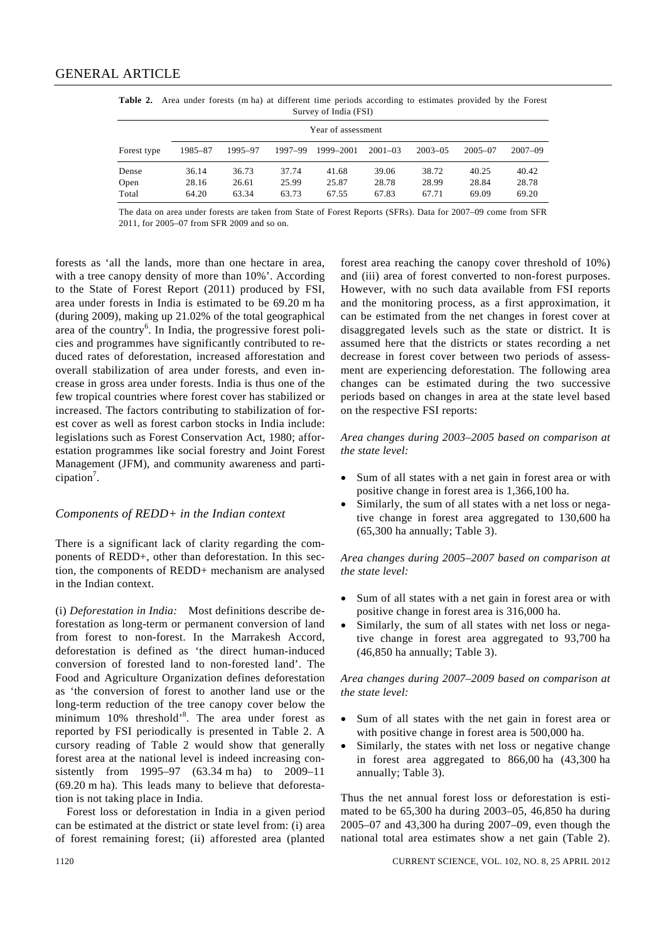|                    |         |         |         | $5.41$ , $5.41$ , $6.41$ , $7.51$ , |             |             |             |             |
|--------------------|---------|---------|---------|-------------------------------------|-------------|-------------|-------------|-------------|
| Year of assessment |         |         |         |                                     |             |             |             |             |
| Forest type        | 1985-87 | 1995-97 | 1997-99 | 1999-2001                           | $2001 - 03$ | $2003 - 05$ | $2005 - 07$ | $2007 - 09$ |
| Dense              | 36.14   | 36.73   | 37.74   | 41.68                               | 39.06       | 38.72       | 40.25       | 40.42       |
| Open               | 28.16   | 26.61   | 25.99   | 25.87                               | 28.78       | 28.99       | 28.84       | 28.78       |
| Total              | 64.20   | 63.34   | 63.73   | 67.55                               | 67.83       | 67.71       | 69.09       | 69.20       |

**Table 2.** Area under forests (m ha) at different time periods according to estimates provided by the Forest Survey of India (FSI)

The data on area under forests are taken from State of Forest Reports (SFRs). Data for 2007–09 come from SFR 2011, for 2005–07 from SFR 2009 and so on.

forests as 'all the lands, more than one hectare in area, with a tree canopy density of more than 10%'. According to the State of Forest Report (2011) produced by FSI, area under forests in India is estimated to be 69.20 m ha (during 2009), making up 21.02% of the total geographical area of the country<sup>6</sup>. In India, the progressive forest policies and programmes have significantly contributed to reduced rates of deforestation, increased afforestation and overall stabilization of area under forests, and even increase in gross area under forests. India is thus one of the few tropical countries where forest cover has stabilized or increased. The factors contributing to stabilization of forest cover as well as forest carbon stocks in India include: legislations such as Forest Conservation Act, 1980; afforestation programmes like social forestry and Joint Forest Management (JFM), and community awareness and parti $cipation<sup>7</sup>$ .

# *Components of REDD+ in the Indian context*

There is a significant lack of clarity regarding the components of REDD+, other than deforestation. In this section, the components of REDD+ mechanism are analysed in the Indian context.

(i) *Deforestation in India:* Most definitions describe deforestation as long-term or permanent conversion of land from forest to non-forest. In the Marrakesh Accord, deforestation is defined as 'the direct human-induced conversion of forested land to non-forested land'. The Food and Agriculture Organization defines deforestation as 'the conversion of forest to another land use or the long-term reduction of the tree canopy cover below the minimum 10% threshold'<sup>8</sup>. The area under forest as reported by FSI periodically is presented in Table 2. A cursory reading of Table 2 would show that generally forest area at the national level is indeed increasing consistently from 1995–97 (63.34 m ha) to 2009–11 (69.20 m ha). This leads many to believe that deforestation is not taking place in India.

 Forest loss or deforestation in India in a given period can be estimated at the district or state level from: (i) area of forest remaining forest; (ii) afforested area (planted forest area reaching the canopy cover threshold of 10%) and (iii) area of forest converted to non-forest purposes. However, with no such data available from FSI reports and the monitoring process, as a first approximation, it can be estimated from the net changes in forest cover at disaggregated levels such as the state or district. It is assumed here that the districts or states recording a net decrease in forest cover between two periods of assessment are experiencing deforestation. The following area changes can be estimated during the two successive periods based on changes in area at the state level based on the respective FSI reports:

*Area changes during 2003–2005 based on comparison at the state level:*

- Sum of all states with a net gain in forest area or with positive change in forest area is 1,366,100 ha.
- Similarly, the sum of all states with a net loss or negative change in forest area aggregated to 130,600 ha (65,300 ha annually; Table 3).

*Area changes during 2005–2007 based on comparison at the state level:* 

- Sum of all states with a net gain in forest area or with positive change in forest area is 316,000 ha.
- Similarly, the sum of all states with net loss or negative change in forest area aggregated to 93,700 ha (46,850 ha annually; Table 3).

*Area changes during 2007–2009 based on comparison at the state level:* 

- Sum of all states with the net gain in forest area or with positive change in forest area is 500,000 ha.
- Similarly, the states with net loss or negative change in forest area aggregated to 866,00 ha (43,300 ha annually; Table 3).

Thus the net annual forest loss or deforestation is estimated to be 65,300 ha during 2003–05, 46,850 ha during 2005–07 and 43,300 ha during 2007–09, even though the national total area estimates show a net gain (Table 2).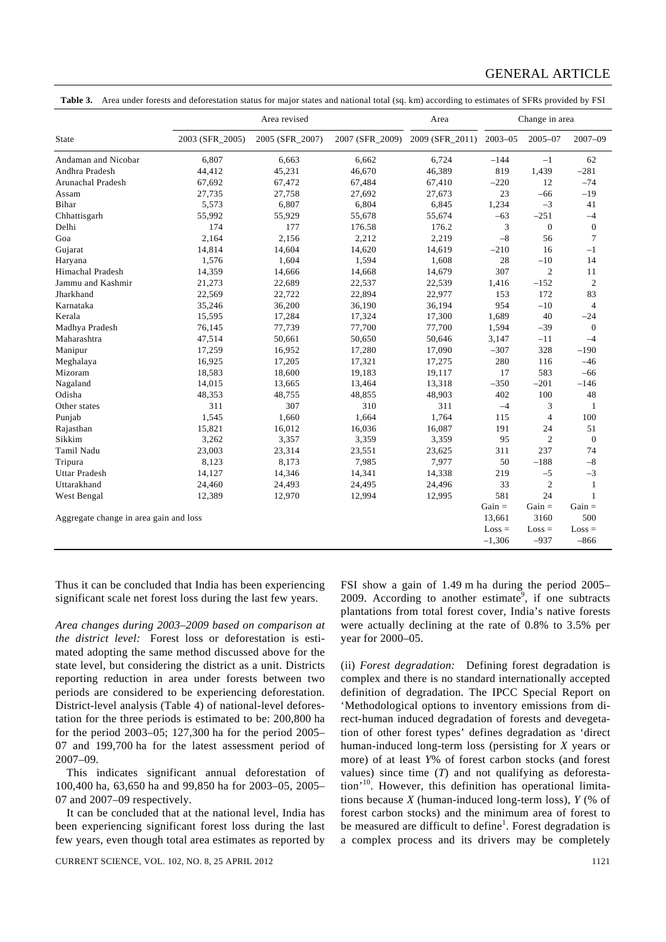# GENERAL ARTICLE

|  | <b>Table 3.</b> Area under forests and deforestation status for major states and national total (sq. km) according to estimates of SFRs provided by FSI |  |  |  |
|--|---------------------------------------------------------------------------------------------------------------------------------------------------------|--|--|--|
|--|---------------------------------------------------------------------------------------------------------------------------------------------------------|--|--|--|

|                                        |                 | Area revised    |                 | Area            | Change in area |                  |                |
|----------------------------------------|-----------------|-----------------|-----------------|-----------------|----------------|------------------|----------------|
| <b>State</b>                           | 2003 (SFR_2005) | 2005 (SFR_2007) | 2007 (SFR 2009) | 2009 (SFR_2011) | $2003 - 05$    | $2005 - 07$      | 2007-09        |
| Andaman and Nicobar                    | 6.807           | 6.663           | 6.662           | 6.724           | $-144$         | $^{-1}$          | 62             |
| Andhra Pradesh                         | 44,412          | 45,231          | 46,670          | 46,389          | 819            | 1,439            | $-281$         |
| Arunachal Pradesh                      | 67,692          | 67,472          | 67,484          | 67,410          | $-220$         | 12               | $-74$          |
| Assam                                  | 27,735          | 27,758          | 27,692          | 27,673          | 23             | $-66$            | $-19$          |
| Bihar                                  | 5,573           | 6,807           | 6,804           | 6,845           | 1,234          | $-3$             | 41             |
| Chhattisgarh                           | 55,992          | 55,929          | 55,678          | 55,674          | $-63$          | $-251$           | $-4$           |
| Delhi                                  | 174             | 177             | 176.58          | 176.2           | 3              | $\boldsymbol{0}$ | $\mathbf{0}$   |
| Goa                                    | 2,164           | 2,156           | 2,212           | 2,219           | $-8$           | 56               | 7              |
| Gujarat                                | 14,814          | 14,604          | 14,620          | 14,619          | $-210$         | 16               | $-1$           |
| Haryana                                | 1,576           | 1,604           | 1,594           | 1,608           | 28             | $-10$            | 14             |
| <b>Himachal Pradesh</b>                | 14,359          | 14,666          | 14,668          | 14,679          | 307            | $\overline{2}$   | 11             |
| Jammu and Kashmir                      | 21,273          | 22,689          | 22,537          | 22,539          | 1,416          | $-152$           | $\overline{c}$ |
| Jharkhand                              | 22,569          | 22,722          | 22,894          | 22,977          | 153            | 172              | 83             |
| Karnataka                              | 35,246          | 36,200          | 36,190          | 36,194          | 954            | $-10$            | $\overline{4}$ |
| Kerala                                 | 15,595          | 17,284          | 17,324          | 17,300          | 1,689          | 40               | $-24$          |
| Madhya Pradesh                         | 76,145          | 77,739          | 77,700          | 77,700          | 1,594          | $-39$            | $\mathbf{0}$   |
| Maharashtra                            | 47,514          | 50,661          | 50,650          | 50,646          | 3,147          | $-11$            | $-4$           |
| Manipur                                | 17,259          | 16,952          | 17,280          | 17,090          | $-307$         | 328              | $-190$         |
| Meghalaya                              | 16,925          | 17,205          | 17,321          | 17,275          | 280            | 116              | $-46$          |
| Mizoram                                | 18,583          | 18,600          | 19,183          | 19,117          | 17             | 583              | $-66$          |
| Nagaland                               | 14,015          | 13,665          | 13,464          | 13,318          | $-350$         | $-201$           | $-146$         |
| Odisha                                 | 48,353          | 48,755          | 48,855          | 48,903          | 402            | 100              | 48             |
| Other states                           | 311             | 307             | 310             | 311             | $-4$           | 3                | 1              |
| Punjab                                 | 1,545           | 1,660           | 1,664           | 1.764           | 115            | $\overline{4}$   | 100            |
| Rajasthan                              | 15,821          | 16,012          | 16,036          | 16,087          | 191            | 24               | 51             |
| Sikkim                                 | 3,262           | 3,357           | 3,359           | 3,359           | 95             | $\overline{2}$   | $\mathbf{0}$   |
| Tamil Nadu                             | 23,003          | 23,314          | 23,551          | 23,625          | 311            | 237              | 74             |
| Tripura                                | 8,123           | 8,173           | 7,985           | 7,977           | 50             | $-188$           | $-8$           |
| <b>Uttar Pradesh</b>                   | 14,127          | 14,346          | 14,341          | 14,338          | 219            | $-5$             | $-3$           |
| Uttarakhand                            | 24,460          | 24,493          | 24,495          | 24,496          | 33             | $\overline{2}$   | 1              |
| West Bengal                            | 12,389          | 12,970          | 12,994          | 12,995          | 581            | 24               | $\mathbf{1}$   |
|                                        |                 |                 |                 |                 | $Gain =$       | $Gain =$         | $Gain =$       |
| Aggregate change in area gain and loss |                 |                 |                 |                 | 13,661         | 3160             | 500            |
|                                        |                 |                 |                 |                 | $Loss =$       | $Loss =$         | $Loss =$       |
|                                        |                 |                 |                 |                 | $-1,306$       | $-937$           | $-866$         |

Thus it can be concluded that India has been experiencing significant scale net forest loss during the last few years.

*Area changes during 2003–2009 based on comparison at the district level:* Forest loss or deforestation is estimated adopting the same method discussed above for the state level, but considering the district as a unit. Districts reporting reduction in area under forests between two periods are considered to be experiencing deforestation. District-level analysis (Table 4) of national-level deforestation for the three periods is estimated to be: 200,800 ha for the period 2003–05; 127,300 ha for the period 2005– 07 and 199,700 ha for the latest assessment period of 2007–09.

 This indicates significant annual deforestation of 100,400 ha, 63,650 ha and 99,850 ha for 2003–05, 2005– 07 and 2007–09 respectively.

 It can be concluded that at the national level, India has been experiencing significant forest loss during the last few years, even though total area estimates as reported by FSI show a gain of 1.49 m ha during the period 2005– 2009. According to another estimate<sup>9</sup>, if one subtracts plantations from total forest cover, India's native forests were actually declining at the rate of 0.8% to 3.5% per year for 2000–05.

(ii) *Forest degradation:* Defining forest degradation is complex and there is no standard internationally accepted definition of degradation. The IPCC Special Report on 'Methodological options to inventory emissions from direct-human induced degradation of forests and devegetation of other forest types' defines degradation as 'direct human-induced long-term loss (persisting for *X* years or more) of at least *Y*% of forest carbon stocks (and forest values) since time (*T*) and not qualifying as deforestation'<sup>10</sup>. However, this definition has operational limitations because *X* (human-induced long-term loss), *Y* (% of forest carbon stocks) and the minimum area of forest to be measured are difficult to define<sup>1</sup>. Forest degradation is a complex process and its drivers may be completely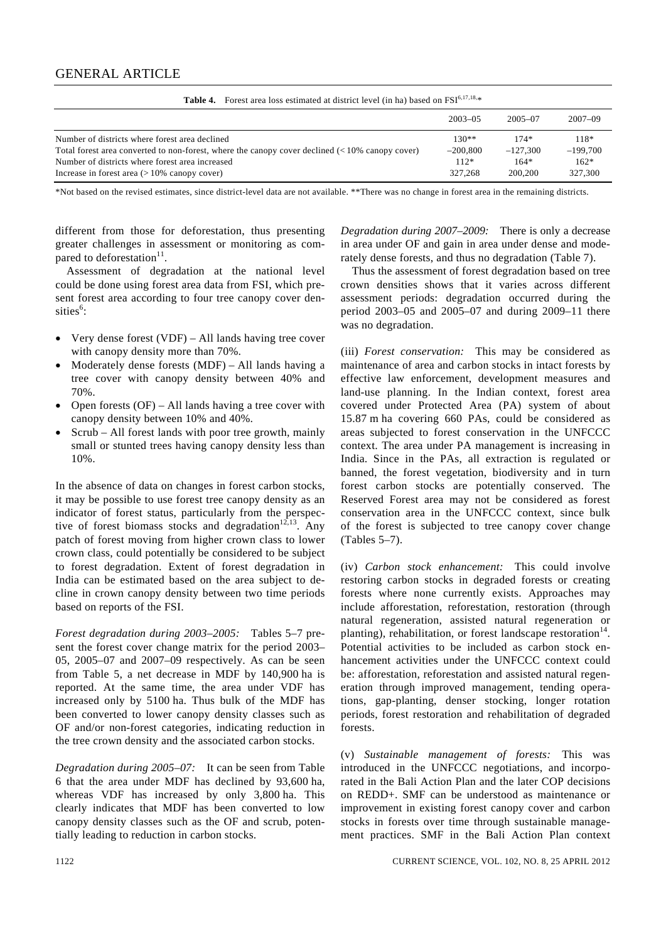| <b>Table 4.</b> Porest area loss estimated at district lever (in ha) based on PSI |                                |                                         |  |  |  |  |  |
|-----------------------------------------------------------------------------------|--------------------------------|-----------------------------------------|--|--|--|--|--|
| $2003 - 0.5$                                                                      | $2005 - 07$                    | $2007 - 09$                             |  |  |  |  |  |
| $130**$<br>$-200.800$<br>$112*$                                                   | $174*$<br>$-127.300$<br>$164*$ | 118*<br>$-199.700$<br>$162*$<br>327,300 |  |  |  |  |  |
|                                                                                   | 327,268                        | 200,200                                 |  |  |  |  |  |

**Table 4.** Forest area loss estimated at district level (in ha) based on FSI6,17,18,\*

\*Not based on the revised estimates, since district-level data are not available. \*\*There was no change in forest area in the remaining districts.

different from those for deforestation, thus presenting greater challenges in assessment or monitoring as compared to deforestation $11$ .

 Assessment of degradation at the national level could be done using forest area data from FSI, which present forest area according to four tree canopy cover densities<sup>6</sup>:

- Very dense forest (VDF) All lands having tree cover with canopy density more than 70%.
- Moderately dense forests (MDF) All lands having a tree cover with canopy density between 40% and 70%.
- Open forests (OF) All lands having a tree cover with canopy density between 10% and 40%.
- Scrub All forest lands with poor tree growth, mainly small or stunted trees having canopy density less than 10%.

In the absence of data on changes in forest carbon stocks, it may be possible to use forest tree canopy density as an indicator of forest status, particularly from the perspective of forest biomass stocks and degradation<sup>12,13</sup>. Any patch of forest moving from higher crown class to lower crown class, could potentially be considered to be subject to forest degradation. Extent of forest degradation in India can be estimated based on the area subject to decline in crown canopy density between two time periods based on reports of the FSI.

*Forest degradation during 2003–2005:* Tables 5–7 present the forest cover change matrix for the period 2003– 05, 2005–07 and 2007–09 respectively. As can be seen from Table 5, a net decrease in MDF by 140,900 ha is reported. At the same time, the area under VDF has increased only by 5100 ha. Thus bulk of the MDF has been converted to lower canopy density classes such as OF and/or non-forest categories, indicating reduction in the tree crown density and the associated carbon stocks.

*Degradation during 2005–07:* It can be seen from Table 6 that the area under MDF has declined by 93,600 ha, whereas VDF has increased by only 3,800 ha. This clearly indicates that MDF has been converted to low canopy density classes such as the OF and scrub, potentially leading to reduction in carbon stocks.

*Degradation during 2007–2009:* There is only a decrease in area under OF and gain in area under dense and moderately dense forests, and thus no degradation (Table 7).

 Thus the assessment of forest degradation based on tree crown densities shows that it varies across different assessment periods: degradation occurred during the period 2003–05 and 2005–07 and during 2009–11 there was no degradation.

(iii) *Forest conservation:* This may be considered as maintenance of area and carbon stocks in intact forests by effective law enforcement, development measures and land-use planning. In the Indian context, forest area covered under Protected Area (PA) system of about 15.87 m ha covering 660 PAs, could be considered as areas subjected to forest conservation in the UNFCCC context. The area under PA management is increasing in India. Since in the PAs, all extraction is regulated or banned, the forest vegetation, biodiversity and in turn forest carbon stocks are potentially conserved. The Reserved Forest area may not be considered as forest conservation area in the UNFCCC context, since bulk of the forest is subjected to tree canopy cover change (Tables 5–7).

(iv) *Carbon stock enhancement:* This could involve restoring carbon stocks in degraded forests or creating forests where none currently exists. Approaches may include afforestation, reforestation, restoration (through natural regeneration, assisted natural regeneration or planting), rehabilitation, or forest landscape restoration<sup>14</sup>. Potential activities to be included as carbon stock enhancement activities under the UNFCCC context could be: afforestation, reforestation and assisted natural regeneration through improved management, tending operations, gap-planting, denser stocking, longer rotation periods, forest restoration and rehabilitation of degraded forests.

(v) *Sustainable management of forests:* This was introduced in the UNFCCC negotiations, and incorporated in the Bali Action Plan and the later COP decisions on REDD+. SMF can be understood as maintenance or improvement in existing forest canopy cover and carbon stocks in forests over time through sustainable management practices. SMF in the Bali Action Plan context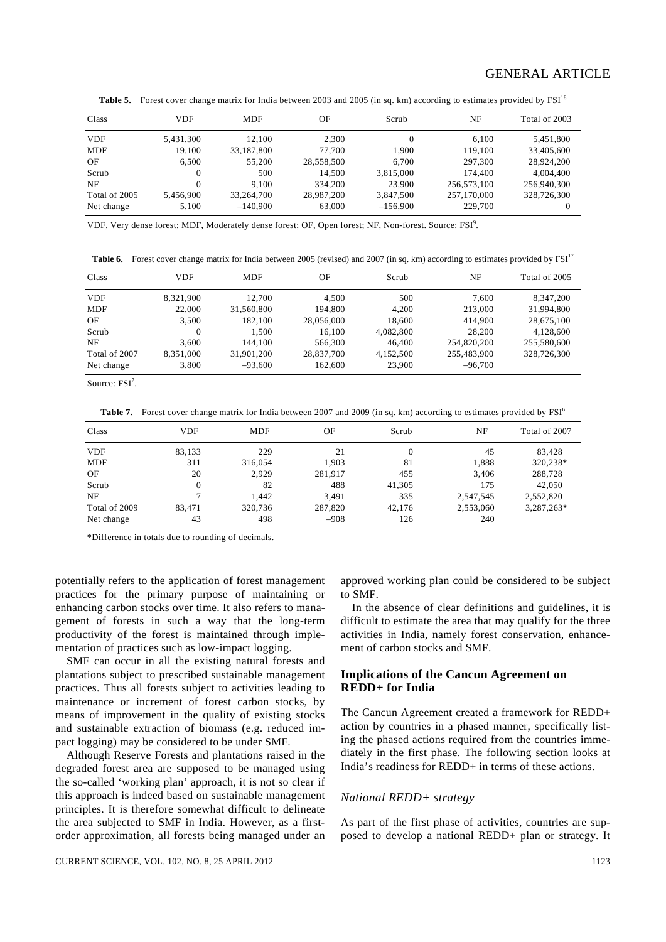# GENERAL ARTICLE

|  | Table 5. Forest cover change matrix for India between 2003 and 2005 (in sq. km) according to estimates provided by FSI <sup>18</sup> |  |  |  |  |
|--|--------------------------------------------------------------------------------------------------------------------------------------|--|--|--|--|
|--|--------------------------------------------------------------------------------------------------------------------------------------|--|--|--|--|

| Class         | <b>VDF</b> | <b>MDF</b> | OF         | Scrub      | NF          | Total of 2003 |
|---------------|------------|------------|------------|------------|-------------|---------------|
| <b>VDF</b>    | 5,431,300  | 12.100     | 2.300      | $\Omega$   | 6.100       | 5,451,800     |
| <b>MDF</b>    | 19.100     | 33,187,800 | 77.700     | 1.900      | 119.100     | 33,405,600    |
| OF            | 6.500      | 55,200     | 28,558,500 | 6.700      | 297,300     | 28,924,200    |
| Scrub         | $\Omega$   | 500        | 14.500     | 3.815.000  | 174,400     | 4,004,400     |
| NF            | $\Omega$   | 9.100      | 334,200    | 23,900     | 256,573,100 | 256,940,300   |
| Total of 2005 | 5,456,900  | 33,264,700 | 28,987,200 | 3,847,500  | 257,170,000 | 328,726,300   |
| Net change    | 5,100      | $-140.900$ | 63,000     | $-156,900$ | 229,700     | $\Omega$      |

VDF, Very dense forest; MDF, Moderately dense forest; OF, Open forest; NF, Non-forest. Source: FSI<sup>9</sup>.

**Table 6.** Forest cover change matrix for India between 2005 (revised) and 2007 (in sq. km) according to estimates provided by FSI<sup>17</sup>

| Class         | VDF       | MDF        | OF         | Scrub     | NF          | Total of 2005 |
|---------------|-----------|------------|------------|-----------|-------------|---------------|
| <b>VDF</b>    | 8,321,900 | 12.700     | 4.500      | 500       | 7.600       | 8.347.200     |
| <b>MDF</b>    | 22,000    | 31,560,800 | 194,800    | 4.200     | 213,000     | 31,994,800    |
| OF            | 3,500     | 182,100    | 28,056,000 | 18,600    | 414,900     | 28,675,100    |
| Scrub         | 0         | 1.500      | 16.100     | 4,082,800 | 28,200      | 4,128,600     |
| NF            | 3.600     | 144,100    | 566,300    | 46,400    | 254,820,200 | 255,580,600   |
| Total of 2007 | 8.351.000 | 31,901,200 | 28,837,700 | 4,152,500 | 255,483,900 | 328,726,300   |
| Net change    | 3,800     | $-93.600$  | 162,600    | 23,900    | $-96,700$   |               |

Source: FSI<sup>7</sup>.

**Table 7.** Forest cover change matrix for India between 2007 and 2009 (in sq. km) according to estimates provided by FSI<sup>6</sup>

| Class         | <b>VDF</b> | <b>MDF</b> | OF      | Scrub  | NF        | Total of 2007 |
|---------------|------------|------------|---------|--------|-----------|---------------|
| <b>VDF</b>    | 83,133     | 229        | 21      | 0      | 45        | 83.428        |
| <b>MDF</b>    | 311        | 316,054    | 1.903   | 81     | 1,888     | 320,238*      |
| OF            | 20         | 2.929      | 281,917 | 455    | 3,406     | 288,728       |
| Scrub         | 0          | 82         | 488     | 41,305 | 175       | 42,050        |
| NF            |            | 1.442      | 3,491   | 335    | 2,547,545 | 2,552,820     |
| Total of 2009 | 83.471     | 320,736    | 287,820 | 42,176 | 2,553,060 | 3,287,263*    |
| Net change    | 43         | 498        | $-908$  | 126    | 240       |               |

\*Difference in totals due to rounding of decimals.

potentially refers to the application of forest management practices for the primary purpose of maintaining or enhancing carbon stocks over time. It also refers to management of forests in such a way that the long-term productivity of the forest is maintained through implementation of practices such as low-impact logging.

 SMF can occur in all the existing natural forests and plantations subject to prescribed sustainable management practices. Thus all forests subject to activities leading to maintenance or increment of forest carbon stocks, by means of improvement in the quality of existing stocks and sustainable extraction of biomass (e.g. reduced impact logging) may be considered to be under SMF.

 Although Reserve Forests and plantations raised in the degraded forest area are supposed to be managed using the so-called 'working plan' approach, it is not so clear if this approach is indeed based on sustainable management principles. It is therefore somewhat difficult to delineate the area subjected to SMF in India. However, as a firstorder approximation, all forests being managed under an

CURRENT SCIENCE, VOL. 102, NO. 8, 25 APRIL 2012 1123

approved working plan could be considered to be subject to SMF.

 In the absence of clear definitions and guidelines, it is difficult to estimate the area that may qualify for the three activities in India, namely forest conservation, enhancement of carbon stocks and SMF.

## **Implications of the Cancun Agreement on REDD+ for India**

The Cancun Agreement created a framework for REDD+ action by countries in a phased manner, specifically listing the phased actions required from the countries immediately in the first phase. The following section looks at India's readiness for REDD+ in terms of these actions.

#### *National REDD+ strategy*

As part of the first phase of activities, countries are supposed to develop a national REDD+ plan or strategy. It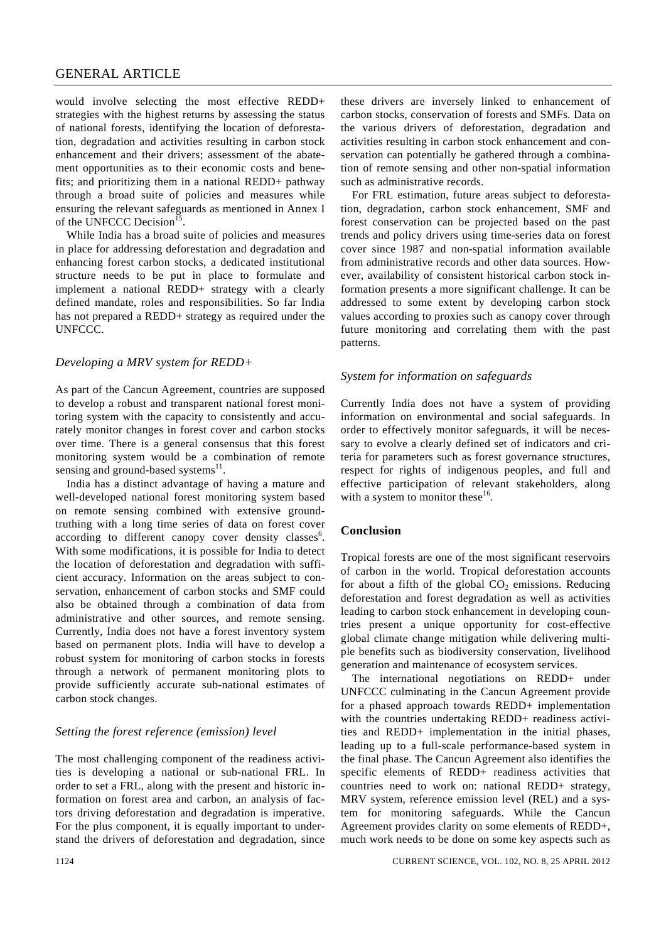# GENERAL ARTICLE

would involve selecting the most effective REDD+ strategies with the highest returns by assessing the status of national forests, identifying the location of deforestation, degradation and activities resulting in carbon stock enhancement and their drivers; assessment of the abatement opportunities as to their economic costs and benefits; and prioritizing them in a national REDD+ pathway through a broad suite of policies and measures while ensuring the relevant safeguards as mentioned in Annex I of the UNFCCC Decision<sup>15</sup>.

 While India has a broad suite of policies and measures in place for addressing deforestation and degradation and enhancing forest carbon stocks, a dedicated institutional structure needs to be put in place to formulate and implement a national REDD+ strategy with a clearly defined mandate, roles and responsibilities. So far India has not prepared a REDD+ strategy as required under the UNFCCC.

# *Developing a MRV system for REDD+*

As part of the Cancun Agreement, countries are supposed to develop a robust and transparent national forest monitoring system with the capacity to consistently and accurately monitor changes in forest cover and carbon stocks over time. There is a general consensus that this forest monitoring system would be a combination of remote sensing and ground-based systems<sup>11</sup>.

 India has a distinct advantage of having a mature and well-developed national forest monitoring system based on remote sensing combined with extensive groundtruthing with a long time series of data on forest cover according to different canopy cover density classes<sup>6</sup>. With some modifications, it is possible for India to detect the location of deforestation and degradation with sufficient accuracy. Information on the areas subject to conservation, enhancement of carbon stocks and SMF could also be obtained through a combination of data from administrative and other sources, and remote sensing. Currently, India does not have a forest inventory system based on permanent plots. India will have to develop a robust system for monitoring of carbon stocks in forests through a network of permanent monitoring plots to provide sufficiently accurate sub-national estimates of carbon stock changes.

# *Setting the forest reference (emission) level*

The most challenging component of the readiness activities is developing a national or sub-national FRL. In order to set a FRL, along with the present and historic information on forest area and carbon, an analysis of factors driving deforestation and degradation is imperative. For the plus component, it is equally important to understand the drivers of deforestation and degradation, since these drivers are inversely linked to enhancement of carbon stocks, conservation of forests and SMFs. Data on the various drivers of deforestation, degradation and activities resulting in carbon stock enhancement and conservation can potentially be gathered through a combination of remote sensing and other non-spatial information such as administrative records.

 For FRL estimation, future areas subject to deforestation, degradation, carbon stock enhancement, SMF and forest conservation can be projected based on the past trends and policy drivers using time-series data on forest cover since 1987 and non-spatial information available from administrative records and other data sources. However, availability of consistent historical carbon stock information presents a more significant challenge. It can be addressed to some extent by developing carbon stock values according to proxies such as canopy cover through future monitoring and correlating them with the past patterns.

#### *System for information on safeguards*

Currently India does not have a system of providing information on environmental and social safeguards. In order to effectively monitor safeguards, it will be necessary to evolve a clearly defined set of indicators and criteria for parameters such as forest governance structures, respect for rights of indigenous peoples, and full and effective participation of relevant stakeholders, along with a system to monitor these<sup>16</sup>.

#### **Conclusion**

Tropical forests are one of the most significant reservoirs of carbon in the world. Tropical deforestation accounts for about a fifth of the global  $CO<sub>2</sub>$  emissions. Reducing deforestation and forest degradation as well as activities leading to carbon stock enhancement in developing countries present a unique opportunity for cost-effective global climate change mitigation while delivering multiple benefits such as biodiversity conservation, livelihood generation and maintenance of ecosystem services.

 The international negotiations on REDD+ under UNFCCC culminating in the Cancun Agreement provide for a phased approach towards REDD+ implementation with the countries undertaking REDD+ readiness activities and REDD+ implementation in the initial phases, leading up to a full-scale performance-based system in the final phase. The Cancun Agreement also identifies the specific elements of REDD+ readiness activities that countries need to work on: national REDD+ strategy, MRV system, reference emission level (REL) and a system for monitoring safeguards. While the Cancun Agreement provides clarity on some elements of REDD+, much work needs to be done on some key aspects such as